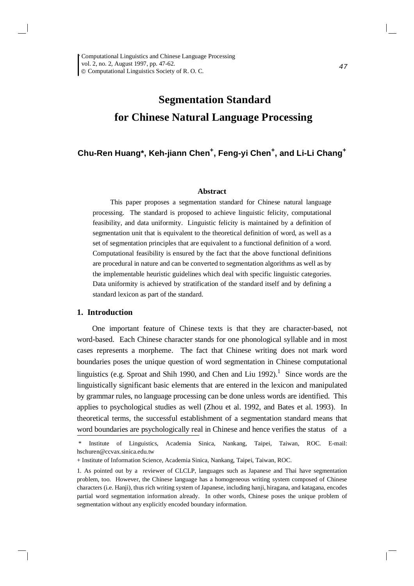# **Segmentation Standard for Chinese Natural Language Processing**

# **Chu-Ren Huang\*, Keh-jiann Chen+ , Feng-yi Chen<sup>+</sup> , and Li-Li Chang<sup>+</sup>**

#### **Abstract**

This paper proposes a segmentation standard for Chinese natural language processing. The standard is proposed to achieve linguistic felicity, computational feasibility, and data uniformity. Linguistic felicity is maintained by a definition of segmentation unit that is equivalent to the theoretical definition of word, as well as a set of segmentation principles that are equivalent to a functional definition of a word. Computational feasibility is ensured by the fact that the above functional definitions are procedural in nature and can be converted to segmentation algorithms as well as by the implementable heuristic guidelines which deal with specific linguistic categories. Data uniformity is achieved by stratification of the standard itself and by defining a standard lexicon as part of the standard.

## **1. Introduction**

One important feature of Chinese texts is that they are character-based, not word-based. Each Chinese character stands for one phonological syllable and in most cases represents a morpheme. The fact that Chinese writing does not mark word boundaries poses the unique question of word segmentation in Chinese computational linguistics (e.g. Sproat and Shih 1990, and Chen and Liu 1992).<sup>1</sup> Since words are the linguistically significant basic elements that are entered in the lexicon and manipulated by grammar rules, no language processing can be done unless words are identified. This applies to psychological studies as well (Zhou et al. 1992, and Bates et al. 1993). In theoretical terms, the successful establishment of a segmentation standard means that word boundaries are psychologically real in Chinese and hence verifies the status of a

<sup>\*</sup> Institute of Linguistics, Academia Sinica, Nankang, Taipei, Taiwan, ROC. E-mail: hschuren@ccvax.sinica.edu.tw

<sup>+</sup> Institute of Information Science, Academia Sinica, Nankang, Taipei, Taiwan, ROC.

<sup>1.</sup> As pointed out by a reviewer of CLCLP, languages such as Japanese and Thai have segmentation problem, too. However, the Chinese language has a homogeneous writing system composed of Chinese characters (i.e. Hanji), thus rich writing system of Japanese, including hanji, hiragana, and katagana, encodes partial word segmentation information already. In other words, Chinese poses the unique problem of segmentation without any explicitly encoded boundary information.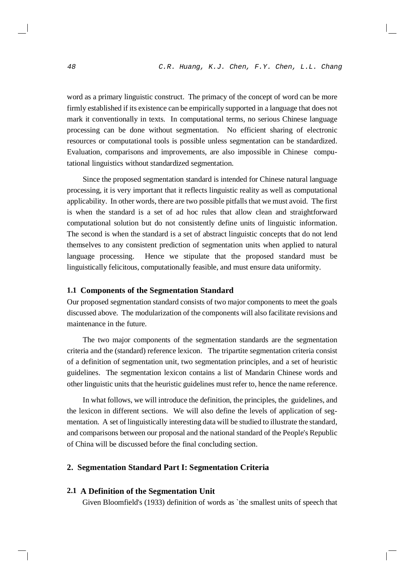word as a primary linguistic construct. The primacy of the concept of word can be more firmly established if its existence can be empirically supported in a language that does not mark it conventionally in texts. In computational terms, no serious Chinese language processing can be done without segmentation. No efficient sharing of electronic resources or computational tools is possible unless segmentation can be standardized. Evaluation, comparisons and improvements, are also impossible in Chinese computational linguistics without standardized segmentation.

Since the proposed segmentation standard is intended for Chinese natural language processing, it is very important that it reflects linguistic reality as well as computational applicability. In other words, there are two possible pitfalls that we must avoid. The first is when the standard is a set of ad hoc rules that allow clean and straightforward computational solution but do not consistently define units of linguistic information. The second is when the standard is a set of abstract linguistic concepts that do not lend themselves to any consistent prediction of segmentation units when applied to natural language processing. Hence we stipulate that the proposed standard must be linguistically felicitous, computationally feasible, and must ensure data uniformity.

## **1.1 Components of the Segmentation Standard**

Our proposed segmentation standard consists of two major components to meet the goals discussed above. The modularization of the components will also facilitate revisions and maintenance in the future.

The two major components of the segmentation standards are the segmentation criteria and the (standard) reference lexicon. The tripartite segmentation criteria consist of a definition of segmentation unit, two segmentation principles, and a set of heuristic guidelines. The segmentation lexicon contains a list of Mandarin Chinese words and other linguistic units that the heuristic guidelines must refer to, hence the name reference.

In what follows, we will introduce the definition, the principles, the guidelines, and the lexicon in different sections. We will also define the levels of application of segmentation. A set of linguistically interesting data will be studied to illustrate the standard, and comparisons between our proposal and the national standard of the People's Republic of China will be discussed before the final concluding section.

## **2. Segmentation Standard Part I: Segmentation Criteria**

## **2.1 A Definition of the Segmentation Unit**

Given Bloomfield's (1933) definition of words as `the smallest units of speech that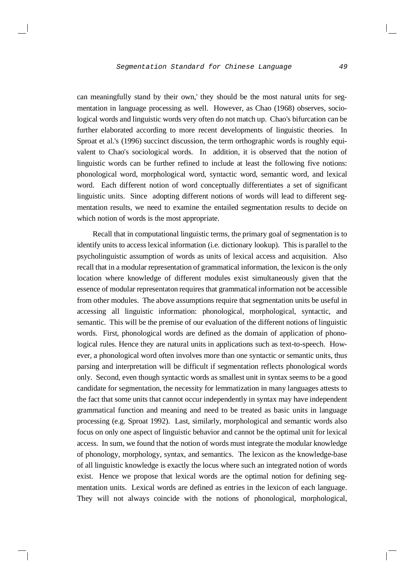can meaningfully stand by their own,' they should be the most natural units for segmentation in language processing as well. However, as Chao (1968) observes, sociological words and linguistic words very often do not match up. Chao's bifurcation can be further elaborated according to more recent developments of linguistic theories. In Sproat et al.'s (1996) succinct discussion, the term orthographic words is roughly equivalent to Chao's sociological words. In addition, it is observed that the notion of linguistic words can be further refined to include at least the following five notions: phonological word, morphological word, syntactic word, semantic word, and lexical word. Each different notion of word conceptually differentiates a set of significant linguistic units. Since adopting different notions of words will lead to different segmentation results, we need to examine the entailed segmentation results to decide on which notion of words is the most appropriate.

Recall that in computational linguistic terms, the primary goal of segmentation is to identify units to accesslexical information (i.e. dictionary lookup). This is parallel to the psycholinguistic assumption of words as units of lexical access and acquisition. Also recall that in a modular representation of grammatical information, the lexicon is the only location where knowledge of different modules exist simultaneously given that the essence of modular representaton requires that grammatical information not be accessible from other modules. The above assumptions require that segmentation units be useful in accessing all linguistic information: phonological, morphological, syntactic, and semantic. This will be the premise of our evaluation of the different notions of linguistic words. First, phonological words are defined as the domain of application of phonological rules. Hence they are natural units in applications such as text-to-speech. However, a phonological word often involves more than one syntactic or semantic units, thus parsing and interpretation will be difficult if segmentation reflects phonological words only. Second, even though syntactic words as smallest unit in syntax seems to be a good candidate for segmentation, the necessity for lemmatization in many languages attests to the fact that some units that cannot occur independently in syntax may have independent grammatical function and meaning and need to be treated as basic units in language processing (e.g. Sproat 1992). Last, similarly, morphological and semantic words also focus on only one aspect of linguistic behavior and cannot be the optimal unit for lexical access. In sum, we found that the notion of words must integrate the modular knowledge of phonology, morphology, syntax, and semantics. The lexicon as the knowledge-base of all linguistic knowledge is exactly the locus where such an integrated notion of words exist. Hence we propose that lexical words are the optimal notion for defining segmentation units. Lexical words are defined as entries in the lexicon of each language. They will not always coincide with the notions of phonological, morphological,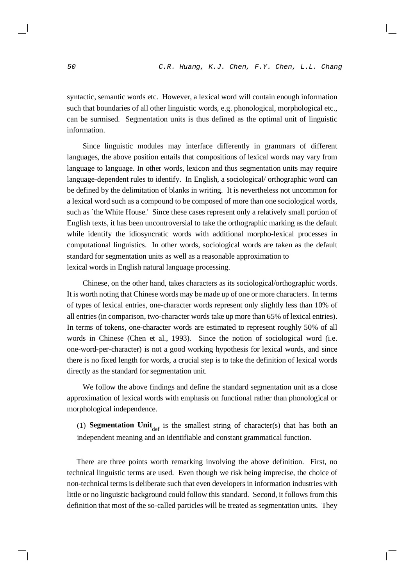syntactic, semantic words etc. However, a lexical word will contain enough information such that boundaries of all other linguistic words, e.g. phonological, morphological etc., can be surmised. Segmentation units is thus defined as the optimal unit of linguistic information.

Since linguistic modules may interface differently in grammars of different languages, the above position entails that compositions of lexical words may vary from language to language. In other words, lexicon and thus segmentation units may require language-dependent rules to identify. In English, a sociological/ orthographic word can be defined by the delimitation of blanks in writing. It is nevertheless not uncommon for a lexical word such as a compound to be composed of more than one sociological words, such as `the White House.' Since these cases represent only a relatively small portion of English texts, it has been uncontroversial to take the orthographic marking as the default while identify the idiosyncratic words with additional morpho-lexical processes in computational linguistics. In other words, sociological words are taken as the default standard for segmentation units as well as a reasonable approximation to lexical words in English natural language processing.

Chinese, on the other hand, takes characters as its sociological/orthographic words. It is worth noting that Chinese words may be made up of one or more characters. In terms of types of lexical entries, one-character words represent only slightly less than 10% of all entries(in comparison, two-character words take up more than 65% of lexical entries). In terms of tokens, one-character words are estimated to represent roughly 50% of all words in Chinese (Chen et al., 1993). Since the notion of sociological word (i.e. one-word-per-character) is not a good working hypothesis for lexical words, and since there is no fixed length for words, a crucial step is to take the definition of lexical words directly as the standard for segmentation unit.

We follow the above findings and define the standard segmentation unit as a close approximation of lexical words with emphasis on functional rather than phonological or morphological independence.

(1) **Segmentation Unit**<sub>def</sub> is the smallest string of character(s) that has both an independent meaning and an identifiable and constant grammatical function.

There are three points worth remarking involving the above definition. First, no technical linguistic terms are used. Even though we risk being imprecise, the choice of non-technical termsis deliberate such that even developers in information industries with little or no linguistic background could follow this standard. Second, it follows from this definition that most of the so-called particles will be treated as segmentation units. They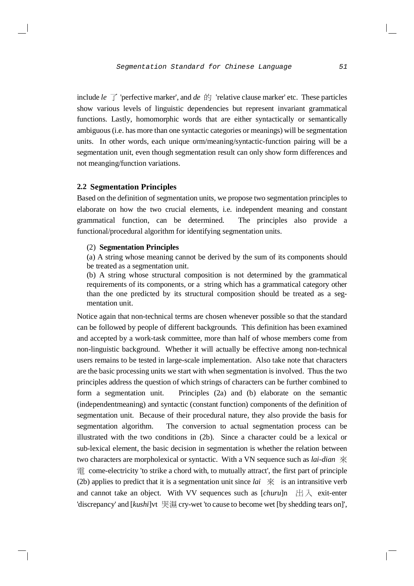include *le*  $\top$  'perfective marker', and *de*  $\overrightarrow{F}$  'relative clause marker' etc. These particles show various levels of linguistic dependencies but represent invariant grammatical functions. Lastly, homomorphic words that are either syntactically or semantically ambiguous(i.e. has more than one syntactic categories or meanings) will be segmentation units. In other words, each unique orm/meaning/syntactic-function pairing will be a segmentation unit, even though segmentation result can only show form differences and not meanging/function variations.

### **2.2 Segmentation Principles**

Based on the definition of segmentation units, we propose two segmentation principles to elaborate on how the two crucial elements, i.e. independent meaning and constant grammatical function, can be determined. The principles also provide a functional/procedural algorithm for identifying segmentation units.

## (2) **Segmentation Principles**

(a) A string whose meaning cannot be derived by the sum of its components should be treated as a segmentation unit.

(b) A string whose structural composition is not determined by the grammatical requirements of its components, or a string which has a grammatical category other than the one predicted by its structural composition should be treated as a segmentation unit.

Notice again that non-technical terms are chosen whenever possible so that the standard can be followed by people of different backgrounds. This definition has been examined and accepted by a work-task committee, more than half of whose members come from non-linguistic background. Whether it will actually be effective among non-technical users remains to be tested in large-scale implementation. Also take note that characters are the basic processing units we start with when segmentation is involved. Thus the two principles address the question of which strings of characters can be further combined to form a segmentation unit. Principles (2a) and (b) elaborate on the semantic (independentmeaning) and syntactic (constant function) components of the definition of segmentation unit. Because of their procedural nature, they also provide the basis for segmentation algorithm. The conversion to actual segmentation process can be illustrated with the two conditions in (2b). Since a character could be a lexical or sub-lexical element, the basic decision in segmentation is whether the relation between two characters are morpholexical or syntactic. With a VN sequence such as *lai-dian* come-electricity 'to strike a chord with, to mutually attract', the first part of principle (2b) applies to predict that it is a segmentation unit since  $lai \mathcal{R}$  is an intransitive verb and cannot take an object. With VV sequences such as  $[churu]$ n  $H \rightarrow \infty$  exit-enter 'discrepancy' and [kushi]vt 哭濕 cry-wet 'to cause to become wet [by shedding tears on]',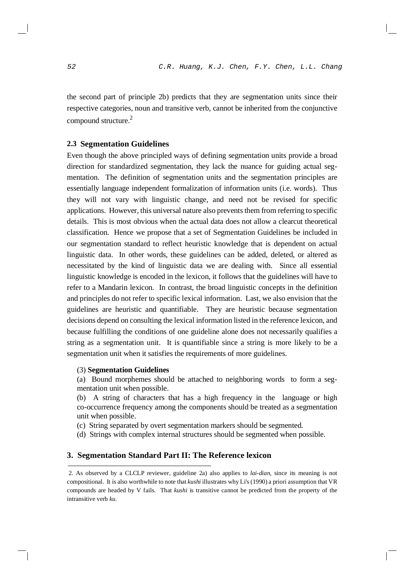the second part of principle 2b) predicts that they are segmentation units since their respective categories, noun and transitive verb, cannot be inherited from the conjunctive compound structure.<sup>2</sup>

### **2.3 Segmentation Guidelines**

Even though the above principled ways of defining segmentation units provide a broad direction for standardized segmentation, they lack the nuance for guiding actual segmentation. The definition of segmentation units and the segmentation principles are essentially language independent formalization of information units (i.e. words). Thus they will not vary with linguistic change, and need not be revised for specific applications. However, this universal nature also preventsthem from referring to specific details. This is most obvious when the actual data does not allow a clearcut theoretical classification. Hence we propose that a set of Segmentation Guidelines be included in our segmentation standard to reflect heuristic knowledge that is dependent on actual linguistic data. In other words, these guidelines can be added, deleted, or altered as necessitated by the kind of linguistic data we are dealing with. Since all essential linguistic knowledge is encoded in the lexicon, it follows that the guidelines will have to refer to a Mandarin lexicon. In contrast, the broad linguistic concepts in the definition and principles do not refer to specific lexical information. Last, we also envision that the guidelines are heuristic and quantifiable. They are heuristic because segmentation decisions depend on consulting the lexical information listed in the reference lexicon, and because fulfilling the conditions of one guideline alone does not necessarily qualifies a string as a segmentation unit. It is quantifiable since a string is more likely to be a segmentation unit when it satisfies the requirements of more guidelines.

#### (3) **Segmentation Guidelines**

(a) Bound morphemes should be attached to neighboring words to form a segmentation unit when possible.

(b) A string of characters that has a high frequency in the language or high co-occurrence frequency among the components should be treated as a segmentation unit when possible.

(c) String separated by overt segmentation markers should be segmented.

(d) Strings with complex internal structures should be segmented when possible.

## **3. Segmentation Standard Part II: The Reference lexicon**

<sup>2.</sup> As observed by a CLCLP reviewer, guideline 2a) also applies to *lai-dian*, since its meaning is not compositional. It is also worthwhile to note that *kushi* illustrates why Li's (1990) a priori assumption that VR compounds are headed by V fails. That *kushi* is transitive cannot be predicted from the property of the intransitive verb *ku*.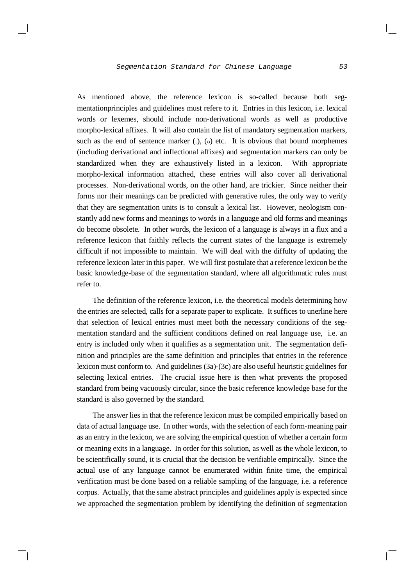As mentioned above, the reference lexicon is so-called because both segmentationprinciples and guidelines must refere to it. Entries in this lexicon, i.e. lexical words or lexemes, should include non-derivational words as well as productive morpho-lexical affixes. It will also contain the list of mandatory segmentation markers, such as the end of sentence marker  $(.)$ ,  $(.)$  etc. It is obvious that bound morphemes (including derivational and inflectional affixes) and segmentation markers can only be standardized when they are exhaustively listed in a lexicon. With appropriate morpho-lexical information attached, these entries will also cover all derivational processes. Non-derivational words, on the other hand, are trickier. Since neither their forms nor their meanings can be predicted with generative rules, the only way to verify that they are segmentation units is to consult a lexical list. However, neologism constantly add new forms and meanings to words in a language and old forms and meanings do become obsolete. In other words, the lexicon of a language is always in a flux and a reference lexicon that faithly reflects the current states of the language is extremely difficult if not impossible to maintain. We will deal with the diffulty of updating the reference lexicon later in this paper. We will first postulate that a reference lexicon be the basic knowledge-base of the segmentation standard, where all algorithmatic rules must refer to.

The definition of the reference lexicon, i.e. the theoretical models determining how the entries are selected, calls for a separate paper to explicate. It suffices to unerline here that selection of lexical entries must meet both the necessary conditions of the segmentation standard and the sufficient conditions defined on real language use, i.e. an entry is included only when it qualifies as a segmentation unit. The segmentation definition and principles are the same definition and principles that entries in the reference lexicon must conform to. And guidelines  $(3a)-(3c)$  are also useful heuristic guidelines for selecting lexical entries. The crucial issue here is then what prevents the proposed standard from being vacuously circular, since the basic reference knowledge base for the standard is also governed by the standard.

The answer lies in that the reference lexicon must be compiled empirically based on data of actual language use. In other words, with the selection of each form-meaning pair as an entry in the lexicon, we are solving the empirical question of whether a certain form or meaning exits in a language. In order for this solution, as well as the whole lexicon, to be scientifically sound, it is crucial that the decision be verifiable empirically. Since the actual use of any language cannot be enumerated within finite time, the empirical verification must be done based on a reliable sampling of the language, i.e. a reference corpus. Actually, that the same abstract principles and guidelines apply is expected since we approached the segmentation problem by identifying the definition of segmentation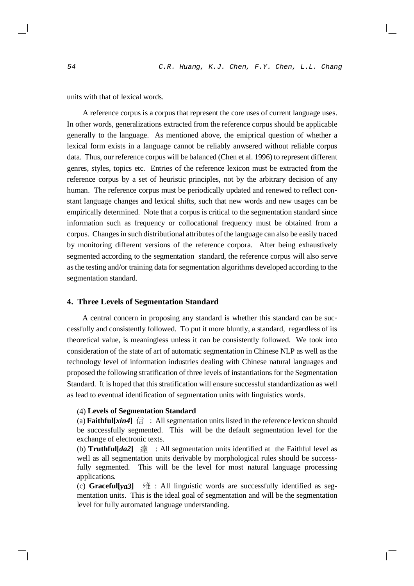units with that of lexical words.

A reference corpus is a corpus that represent the core uses of current language uses. In other words, generalizations extracted from the reference corpus should be applicable generally to the language. As mentioned above, the emiprical question of whether a lexical form exists in a language cannot be reliably anwsered without reliable corpus data. Thus, our reference corpus will be balanced (Chen et al. 1996) to represent different genres, styles, topics etc. Entries of the reference lexicon must be extracted from the reference corpus by a set of heuristic principles, not by the arbitrary decision of any human. The reference corpus must be periodically updated and renewed to reflect constant language changes and lexical shifts, such that new words and new usages can be empirically determined. Note that a corpus is critical to the segmentation standard since information such as frequency or collocational frequency must be obtained from a corpus. Changes in such distributional attributes of the language can also be easily traced by monitoring different versions of the reference corpora. After being exhaustively segmented according to the segmentation standard, the reference corpus will also serve asthe testing and/or training data for segmentation algorithms developed according to the segmentation standard.

## **4. Three Levels of Segmentation Standard**

A central concern in proposing any standard is whether this standard can be successfully and consistently followed. To put it more bluntly, a standard, regardless of its theoretical value, is meaningless unless it can be consistently followed. We took into consideration of the state of art of automatic segmentation in Chinese NLP as well as the technology level of information industries dealing with Chinese natural languages and proposed the following stratification of three levels of instantiations for the Segmentation Standard. It is hoped that this stratification will ensure successful standardization as well as lead to eventual identification of segmentation units with linguistics words.

#### (4) **Levels of Segmentation Standard**

(a) **Faithful**[ $xin4$ ]  $\oplus$  : All segmentation units listed in the reference lexicon should be successfully segmented. This will be the default segmentation level for the exchange of electronic texts.

(b) **Truthful**[*da2*]  $\hat{\mathbb{E}}$  : All segmentation units identified at the Faithful level as well as all segmentation units derivable by morphological rules should be successfully segmented. This will be the level for most natural language processing applications.

(c) **Gracefull**  $v \cdot a3$   $\parallel$  **:** All linguistic words are successfully identified as segmentation units. This is the ideal goal of segmentation and will be the segmentation level for fully automated language understanding.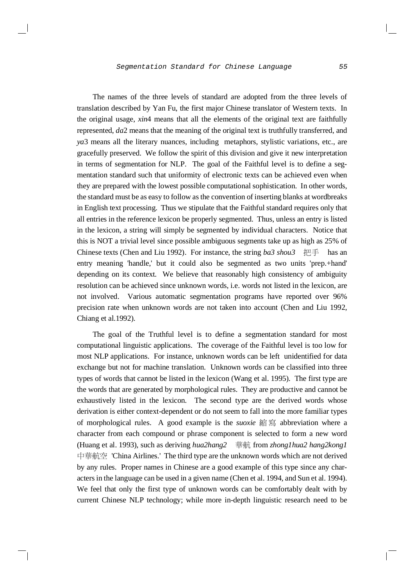The names of the three levels of standard are adopted from the three levels of translation described by Yan Fu, the first major Chinese translator of Western texts. In the original usage, *xin*4 means that all the elements of the original text are faithfully represented, *da*2 means that the meaning of the original text is truthfully transferred, and *ya*3 means all the literary nuances, including metaphors, stylistic variations, etc., are gracefully preserved. We follow the spirit of this division and give it new interpretation in terms of segmentation for NLP. The goal of the Faithful level is to define a segmentation standard such that uniformity of electronic texts can be achieved even when they are prepared with the lowest possible computational sophistication. In other words, the standard must be as easy to follow asthe convention of inserting blanks at wordbreaks in English text processing. Thus we stipulate that the Faithful standard requires only that all entries in the reference lexicon be properly segmented. Thus, unless an entry is listed in the lexicon, a string will simply be segmented by individual characters. Notice that this is NOT a trivial level since possible ambiguous segments take up as high as 25% of Chinese texts (Chen and Liu 1992). For instance, the string *ba3 shou3* 把手 has an entry meaning 'handle,' but it could also be segmented as two units 'prep.+hand' depending on its context. We believe that reasonably high consistency of ambiguity resolution can be achieved since unknown words, i.e. words not listed in the lexicon, are not involved. Various automatic segmentation programs have reported over 96% precision rate when unknown words are not taken into account (Chen and Liu 1992, Chiang et al.1992).

The goal of the Truthful level is to define a segmentation standard for most computational linguistic applications. The coverage of the Faithful level is too low for most NLP applications. For instance, unknown words can be left unidentified for data exchange but not for machine translation. Unknown words can be classified into three types of words that cannot be listed in the lexicon (Wang et al. 1995). The first type are the words that are generated by morphological rules. They are productive and cannot be exhaustively listed in the lexicon. The second type are the derived words whose derivation is either context-dependent or do not seem to fall into the more familiar types of morphological rules. A good example is the *suoxie* 縮寫 abbreviation where a character from each compound or phrase component is selected to form a new word (Huang et al. 1993), such as deriving *hua2hang2* 華航 from *zhong1hua2 hang2kong1* 中華航空 'China Airlines.' The third type are the unknown words which are not derived by any rules. Proper names in Chinese are a good example of this type since any charactersin the language can be used in a given name (Chen et al. 1994, and Sun et al. 1994). We feel that only the first type of unknown words can be comfortably dealt with by current Chinese NLP technology; while more in-depth linguistic research need to be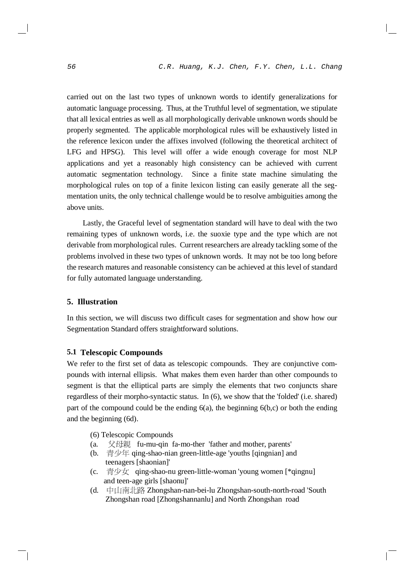carried out on the last two types of unknown words to identify generalizations for automatic language processing. Thus, at the Truthful level of segmentation, we stipulate that all lexical entries as well as all morphologically derivable unknown words should be properly segmented. The applicable morphological rules will be exhaustively listed in the reference lexicon under the affixes involved (following the theoretical architect of LFG and HPSG). This level will offer a wide enough coverage for most NLP applications and yet a reasonably high consistency can be achieved with current automatic segmentation technology. Since a finite state machine simulating the morphological rules on top of a finite lexicon listing can easily generate all the segmentation units, the only technical challenge would be to resolve ambiguities among the above units.

Lastly, the Graceful level of segmentation standard will have to deal with the two remaining types of unknown words, i.e. the suoxie type and the type which are not derivable from morphological rules. Current researchers are already tackling some of the problems involved in these two types of unknown words. It may not be too long before the research matures and reasonable consistency can be achieved at this level of standard for fully automated language understanding.

## **5. Illustration**

In this section, we will discuss two difficult cases for segmentation and show how our Segmentation Standard offers straightforward solutions.

## **5.1 Telescopic Compounds**

We refer to the first set of data as telescopic compounds. They are conjunctive compounds with internal ellipsis. What makes them even harder than other compounds to segment is that the elliptical parts are simply the elements that two conjuncts share regardless of their morpho-syntactic status. In (6), we show that the 'folded' (i.e. shared) part of the compound could be the ending  $6(a)$ , the beginning  $6(b,c)$  or both the ending and the beginning (6d).

- (6) Telescopic Compounds
- (a.  $\sqrt{\frac{m}{n}}$  fu-mu-qin fa-mo-ther 'father and mother, parents'
- (b. 青少年 qing-shao-nian green-little-age 'youths [qingnian] and teenagers [shaonian]'
- (c.  $\vec{\equiv}$   $\psi \times$  qing-shao-nu green-little-woman 'young women [\*qingnu] and teen-age girls [shaonu]'
- (d. 中山南北路 Zhongshan-nan-bei-lu Zhongshan-south-north-road 'South Zhongshan road [Zhongshannanlu] and North Zhongshan road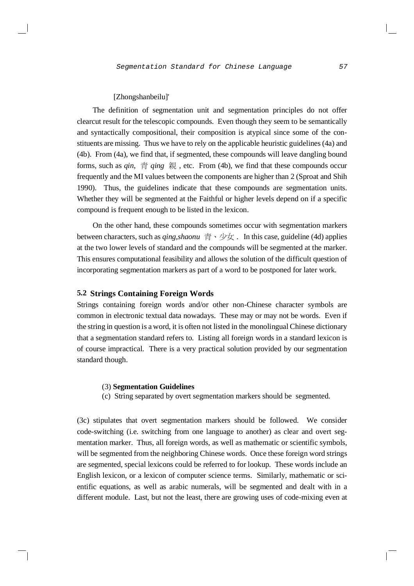## [Zhongshanbeilu]'

The definition of segmentation unit and segmentation principles do not offer clearcut result for the telescopic compounds. Even though they seem to be semantically and syntactically compositional, their composition is atypical since some of the constituents are missing. Thus we have to rely on the applicable heuristic guidelines(4a) and (4b). From (4a), we find that, if segmented, these compounds will leave dangling bound forms, such as *gin*,  $\frac{2}{3}$  *ging*  $\frac{2}{3}$ , etc. From (4b), we find that these compounds occur frequently and the MI values between the components are higher than 2 (Sproat and Shih 1990). Thus, the guidelines indicate that these compounds are segmentation units. Whether they will be segmented at the Faithful or higher levels depend on if a specific compound is frequent enough to be listed in the lexicon.

On the other hand, these compounds sometimes occur with segmentation markers between characters, such as *qing,shaonu* 青、少女. In this case, guideline (4d) applies at the two lower levels of standard and the compounds will be segmented at the marker. This ensures computational feasibility and allows the solution of the difficult question of incorporating segmentation markers as part of a word to be postponed for later work.

## **5.2 Strings Containing Foreign Words**

Strings containing foreign words and/or other non-Chinese character symbols are common in electronic textual data nowadays. These may or may not be words. Even if the string in question is a word, it is often not listed in the monolingual Chinese dictionary that a segmentation standard refers to. Listing all foreign words in a standard lexicon is of course impractical. There is a very practical solution provided by our segmentation standard though.

### (3) **Segmentation Guidelines**

(c) String separated by overt segmentation markers should be segmented.

(3c) stipulates that overt segmentation markers should be followed. We consider code-switching (i.e. switching from one language to another) as clear and overt segmentation marker. Thus, all foreign words, as well as mathematic or scientific symbols, will be segmented from the neighboring Chinese words. Once these foreign word strings are segmented, special lexicons could be referred to for lookup. These words include an English lexicon, or a lexicon of computer science terms. Similarly, mathematic or scientific equations, as well as arabic numerals, will be segmented and dealt with in a different module. Last, but not the least, there are growing uses of code-mixing even at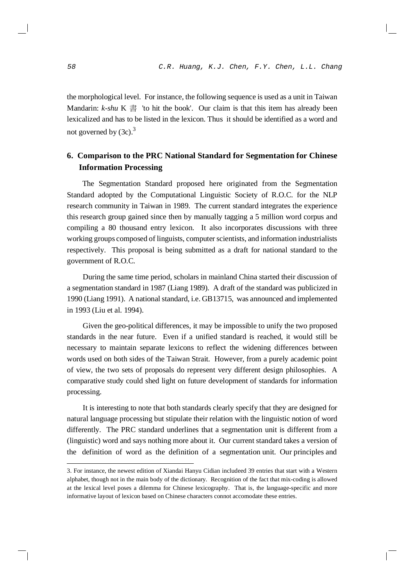the morphological level. For instance, the following sequence is used as a unit in Taiwan Mandarin:  $k$ -shu K  $\equiv$  'to hit the book'. Our claim is that this item has already been lexicalized and has to be listed in the lexicon. Thus it should be identified as a word and not governed by  $(3c)$ .<sup>3</sup>

## **6. Comparison to the PRC National Standard for Segmentation for Chinese Information Processing**

The Segmentation Standard proposed here originated from the Segmentation Standard adopted by the Computational Linguistic Society of R.O.C. for the NLP research community in Taiwan in 1989. The current standard integrates the experience this research group gained since then by manually tagging a 5 million word corpus and compiling a 80 thousand entry lexicon. It also incorporates discussions with three working groups composed of linguists, computer scientists, and information industrialists respectively. This proposal is being submitted as a draft for national standard to the government of R.O.C.

During the same time period, scholars in mainland China started their discussion of a segmentation standard in 1987 (Liang 1989). A draft of the standard was publicized in 1990 (Liang 1991). A national standard, i.e. GB13715, was announced and implemented in 1993 (Liu et al. 1994).

Given the geo-political differences, it may be impossible to unify the two proposed standards in the near future. Even if a unified standard is reached, it would still be necessary to maintain separate lexicons to reflect the widening differences between words used on both sides of the Taiwan Strait. However, from a purely academic point of view, the two sets of proposals do represent very different design philosophies. A comparative study could shed light on future development of standards for information processing.

It is interesting to note that both standards clearly specify that they are designed for natural language processing but stipulate their relation with the linguistic notion of word differently. The PRC standard underlines that a segmentation unit is different from a (linguistic) word and says nothing more about it. Our current standard takes a version of the definition of word as the definition of a segmentation unit. Our principles and

<sup>3.</sup> For instance, the newest edition of Xiandai Hanyu Cidian includeed 39 entries that start with a Western alphabet, though not in the main body of the dictionary. Recognition of the fact that mix-coding is allowed at the lexical level poses a dilemma for Chinese lexicography. That is, the language-specific and more informative layout of lexicon based on Chinese characters connot accomodate these entries.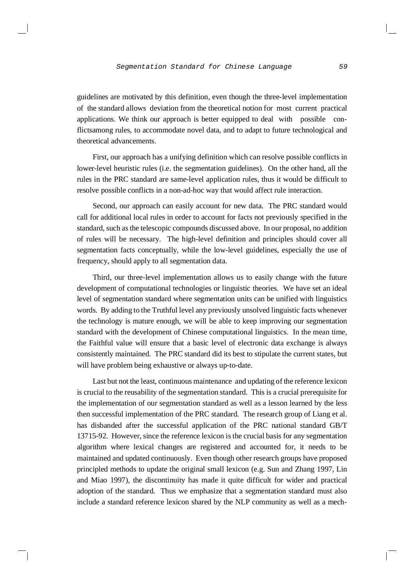guidelines are motivated by this definition, even though the three-level implementation of the standard allows deviation from the theoretical notion for most current practical applications. We think our approach is better equipped to deal with possible conflictsamong rules, to accommodate novel data, and to adapt to future technological and theoretical advancements.

First, our approach has a unifying definition which can resolve possible conflicts in lower-level heuristic rules (i.e. the segmentation guidelines). On the other hand, all the rules in the PRC standard are same-level application rules, thus it would be difficult to resolve possible conflicts in a non-ad-hoc way that would affect rule interaction.

Second, our approach can easily account for new data. The PRC standard would call for additional local rules in order to account for facts not previously specified in the standard, such asthe telescopic compounds discussed above. In our proposal, no addition of rules will be necessary. The high-level definition and principles should cover all segmentation facts conceptually, while the low-level guidelines, especially the use of frequency, should apply to all segmentation data.

Third, our three-level implementation allows us to easily change with the future development of computational technologies or linguistic theories. We have set an ideal level of segmentation standard where segmentation units can be unified with linguistics words. By adding to the Truthful level any previously unsolved linguistic facts whenever the technology is mature enough, we will be able to keep improving our segmentation standard with the development of Chinese computational linguistics. In the mean time, the Faithful value will ensure that a basic level of electronic data exchange is always consistently maintained. The PRC standard did its best to stipulate the current states, but will have problem being exhaustive or always up-to-date.

Last but not the least, continuous maintenance and updating of the reference lexicon is crucial to the reusability of the segmentation standard. This is a crucial prerequisite for the implementation of our segmentation standard as well as a lesson learned by the less then successful implementation of the PRC standard. The research group of Liang et al. has disbanded after the successful application of the PRC national standard GB/T 13715-92. However, since the reference lexicon isthe crucial basis for any segmentation algorithm where lexical changes are registered and accounted for, it needs to be maintained and updated continuously. Even though other research groups have proposed principled methods to update the original small lexicon (e.g. Sun and Zhang 1997, Lin and Miao 1997), the discontinuity has made it quite difficult for wider and practical adoption of the standard. Thus we emphasize that a segmentation standard must also include a standard reference lexicon shared by the NLP community as well as a mech-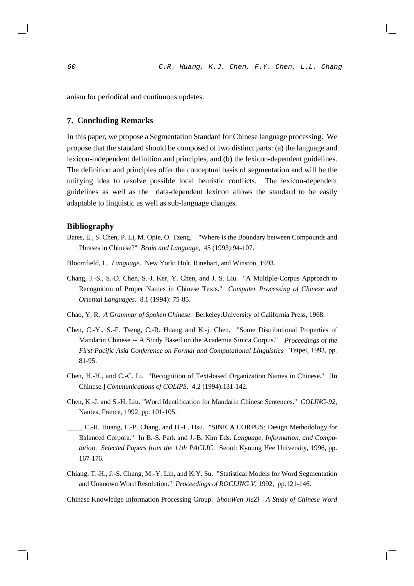anism for periodical and continuous updates.

## **7. Concluding Remarks**

In this paper, we propose a Segmentation Standard for Chinese language processing. We propose that the standard should be composed of two distinct parts: (a) the language and lexicon-independent definition and principles, and (b) the lexicon-dependent guidelines. The definition and principles offer the conceptual basis of segmentation and will be the unifying idea to resolve possible local heuristic conflicts. The lexicon-dependent guidelines as well as the data-dependent lexicon allows the standard to be easily adaptable to linguistic as well as sub-language changes.

## **Bibliography**

- Bates, E., S. Chen, P. Li, M. Opie, O. Tzeng. "Where is the Boundary between Compounds and Phrases in Chinese?" *Brain and Language*, 45 (1993):94-107.
- Bloomfield, L. *Language*. New York: Holt, Rinehart, and Winston, 1993.
- Chang, J.-S., S.-D. Chen, S.-J. Ker, Y. Chen, and J. S. Liu. "A Multiple-Corpus Approach to Recognition of Proper Names in Chinese Texts." *Computer Processing of Chinese and Oriental Languages*. 8.1 (1994): 75-85.
- Chao, Y. R. *A Grammar of Spoken Chinese*. Berkeley:University of California Press, 1968.
- Chen, C.-Y., S.-F. Tseng, C.-R. Huang and K.-j. Chen. "Some Distributional Properties of Mandarin Chinese -- A Study Based on the Academia Sinica Corpus." *Proceedings of the First Pacific Asia Conference on Formal and Computational Linguistics*. Taipei, 1993, pp. 81-95.
- Chen, H.-H., and C.-C. Li. "Recognition of Text-based Organization Names in Chinese." [In Chinese.] *Communications of COLIPS*. 4.2 (1994):131-142.
- Chen, K.-J. and S.-H. Liu. "Word Identification for Mandarin Chinese Sentences." *COLING-92*, Nantes, France, 1992, pp. 101-105.
- \_\_\_\_, C.-R. Huang, L.-P. Chang, and H.-L. Hsu. "SINICA CORPUS: Design Methodology for Balanced Corpora." In B.-S. Park and J.-B. Kim Eds. *Language, Information, and Computation*. *Selected Papers from the 11th PACLIC*. Seoul: Kynung Hee University, 1996, pp. 167-176.
- Chiang, T.-H., J.-S. Chang, M.-Y. Lin, and K.Y. Su. "Statistical Models for Word Segmentation and Unknown Word Resolution." *Proceedings of ROCLING V*, 1992, pp.121-146.

Chinese Knowledge Information Processing Group. *ShouWen JieZi - A Study of Chinese Word*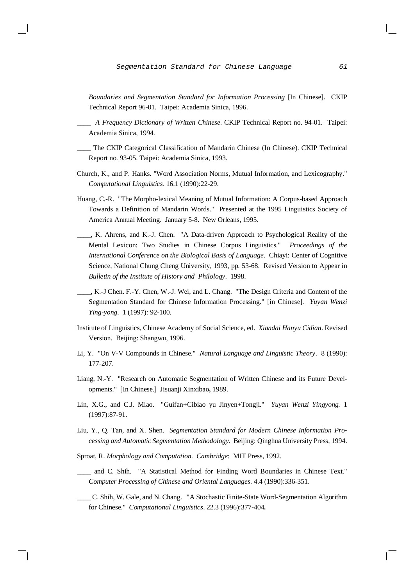Segmentation Standard for Chinese Language 61

*Boundaries and Segmentation Standard for Information Processing* [In Chinese]. CKIP Technical Report 96-01. Taipei: Academia Sinica, 1996.

\_\_\_\_ *A Frequency Dictionary of Written Chinese*. CKIP Technical Report no. 94-01. Taipei: Academia Sinica, 1994.

- \_\_\_\_ The CKIP Categorical Classification of Mandarin Chinese (In Chinese). CKIP Technical Report no. 93-05. Taipei: Academia Sinica, 1993.
- Church, K., and P. Hanks. "Word Association Norms, Mutual Information, and Lexicography." *Computational Linguistics*. 16.1 (1990):22-29.
- Huang, C.-R. "The Morpho-lexical Meaning of Mutual Information: A Corpus-based Approach Towards a Definition of Mandarin Words." Presented at the 1995 Linguistics Society of America Annual Meeting. January 5-8. New Orleans, 1995.
- \_\_\_\_, K. Ahrens, and K.-J. Chen. "A Data-driven Approach to Psychological Reality of the Mental Lexicon: Two Studies in Chinese Corpus Linguistics." *Proceedings of the International Conference on the Biological Basis of Language*. Chiayi: Center of Cognitive Science, National Chung Cheng University, 1993, pp. 53-68. Revised Version to Appear in *Bulletin of the Institute of History and Philology*. 1998.
- \_\_\_\_, K.-J Chen. F.-Y. Chen, W.-J. Wei, and L. Chang. "The Design Criteria and Content of the Segmentation Standard for Chinese Information Processing." [in Chinese]. *Yuyan Wenzi Ying-yong*. 1 (1997): 92-100.
- Institute of Linguistics, Chinese Academy of Social Science, ed. *Xiandai Hanyu Cidian*. Revised Version. Beijing: Shangwu, 1996.
- Li, Y. "On V-V Compounds in Chinese." *Natural Language and Linguistic Theory*. 8 (1990): 177-207.
- Liang, N.-Y. "Research on Automatic Segmentation of Written Chinese and its Future Developments." [In Chinese.] Jisuanji Xinxibao**,** 1989.
- Lin, X.G., and C.J. Miao. "Guifan+Cibiao yu Jinyen+Tongji." *Yuyan Wenzi Yingyong.* 1 (1997):87-91.
- Liu, Y., Q. Tan, and X. Shen. *Segmentation Standard for Modern Chinese Information Processing and Automatic Segmentation Methodology*. Beijing: Qinghua University Press, 1994.
- Sproat, R. *Morphology and Computation. Cambridge*: MIT Press, 1992.
- \_\_\_\_ and C. Shih. "A Statistical Method for Finding Word Boundaries in Chinese Text." *Computer Processing of Chinese and Oriental Languages*. 4.4 (1990):336-351.
- \_\_\_\_ C. Shih, W. Gale, and N. Chang. "A Stochastic Finite-State Word-Segmentation Algorithm for Chinese." *Computational Linguistics*. 22.3 (1996):377-404**.**